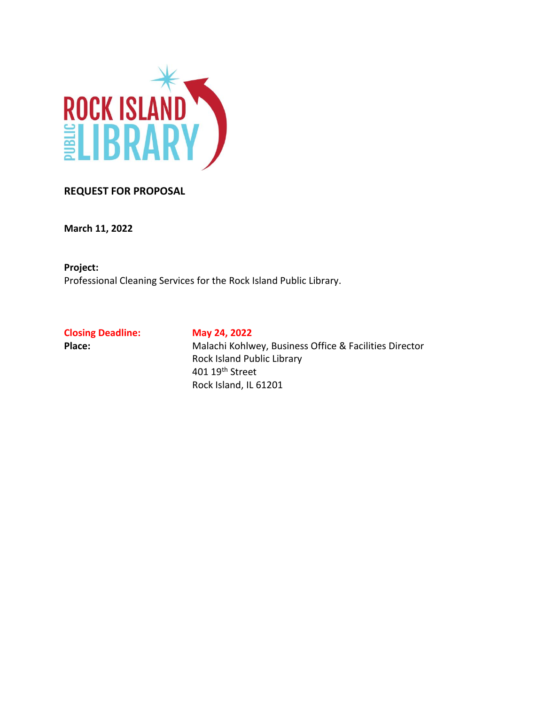

# **REQUEST FOR PROPOSAL**

**March 11, 2022**

**Project:** Professional Cleaning Services for the Rock Island Public Library.

**Closing Deadline: May 24, 2022**

**Place:** Malachi Kohlwey, Business Office & Facilities Director Rock Island Public Library 401 19th Street Rock Island, IL 61201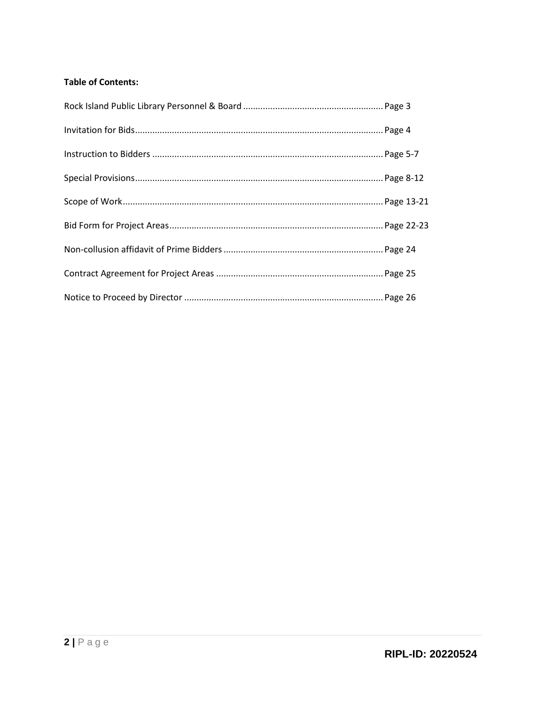# **Table of Contents:**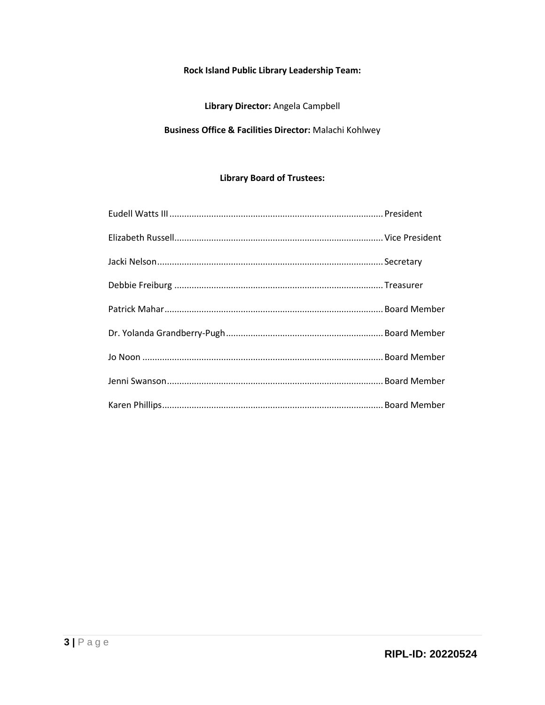# **Rock Island Public Library Leadership Team:**

# **Library Director:** Angela Campbell

# **Business Office & Facilities Director:** Malachi Kohlwey

# **Library Board of Trustees:**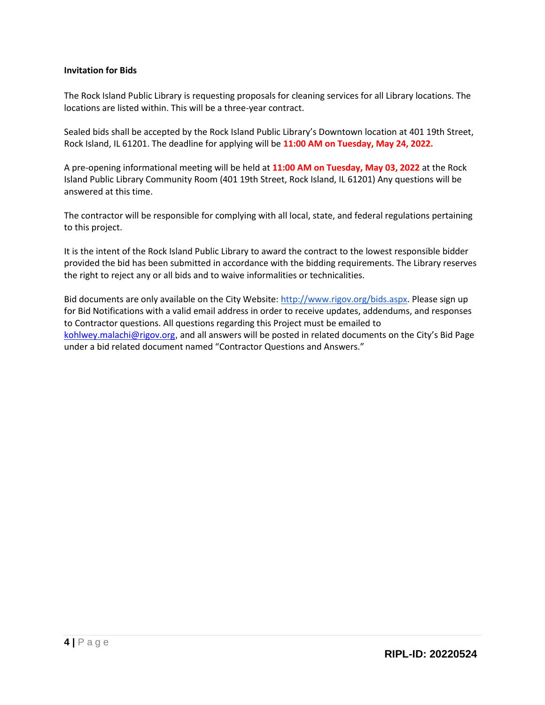## **Invitation for Bids**

The Rock Island Public Library is requesting proposals for cleaning services for all Library locations. The locations are listed within. This will be a three-year contract.

Sealed bids shall be accepted by the Rock Island Public Library's Downtown location at 401 19th Street, Rock Island, IL 61201. The deadline for applying will be **11:00 AM on Tuesday, May 24, 2022.**

A pre-opening informational meeting will be held at **11:00 AM on Tuesday, May 03, 2022** at the Rock Island Public Library Community Room (401 19th Street, Rock Island, IL 61201) Any questions will be answered at this time.

The contractor will be responsible for complying with all local, state, and federal regulations pertaining to this project.

It is the intent of the Rock Island Public Library to award the contract to the lowest responsible bidder provided the bid has been submitted in accordance with the bidding requirements. The Library reserves the right to reject any or all bids and to waive informalities or technicalities.

Bid documents are only available on the City Website: [http://www.rigov.org/bids.aspx.](http://www.rigov.org/bids.aspx) Please sign up for Bid Notifications with a valid email address in order to receive updates, addendums, and responses to Contractor questions. All questions regarding this Project must be emailed to [kohlwey.malachi@rigov.org](mailto:kohlwey.malachi@rigov.org), and all answers will be posted in related documents on the City's Bid Page under a bid related document named "Contractor Questions and Answers."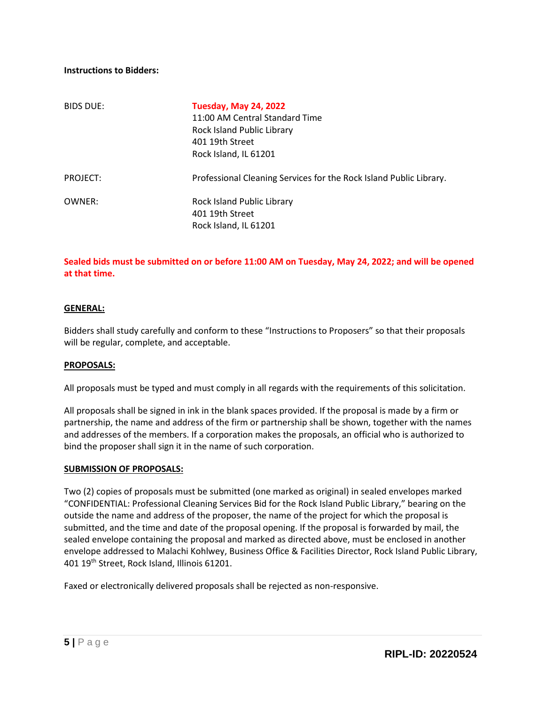#### **Instructions to Bidders:**

| <b>BIDS DUE:</b> | <b>Tuesday, May 24, 2022</b><br>11:00 AM Central Standard Time<br>Rock Island Public Library<br>401 19th Street |
|------------------|-----------------------------------------------------------------------------------------------------------------|
| PROJECT:         | Rock Island, IL 61201<br>Professional Cleaning Services for the Rock Island Public Library.                     |
| OWNER:           | Rock Island Public Library                                                                                      |
|                  | 401 19th Street<br>Rock Island, IL 61201                                                                        |

**Sealed bids must be submitted on or before 11:00 AM on Tuesday, May 24, 2022; and will be opened at that time.**

#### **GENERAL:**

Bidders shall study carefully and conform to these "Instructions to Proposers" so that their proposals will be regular, complete, and acceptable.

#### **PROPOSALS:**

All proposals must be typed and must comply in all regards with the requirements of this solicitation.

All proposals shall be signed in ink in the blank spaces provided. If the proposal is made by a firm or partnership, the name and address of the firm or partnership shall be shown, together with the names and addresses of the members. If a corporation makes the proposals, an official who is authorized to bind the proposer shall sign it in the name of such corporation.

#### **SUBMISSION OF PROPOSALS:**

Two (2) copies of proposals must be submitted (one marked as original) in sealed envelopes marked "CONFIDENTIAL: Professional Cleaning Services Bid for the Rock Island Public Library," bearing on the outside the name and address of the proposer, the name of the project for which the proposal is submitted, and the time and date of the proposal opening. If the proposal is forwarded by mail, the sealed envelope containing the proposal and marked as directed above, must be enclosed in another envelope addressed to Malachi Kohlwey, Business Office & Facilities Director, Rock Island Public Library, 401 19th Street, Rock Island, Illinois 61201.

Faxed or electronically delivered proposals shall be rejected as non-responsive.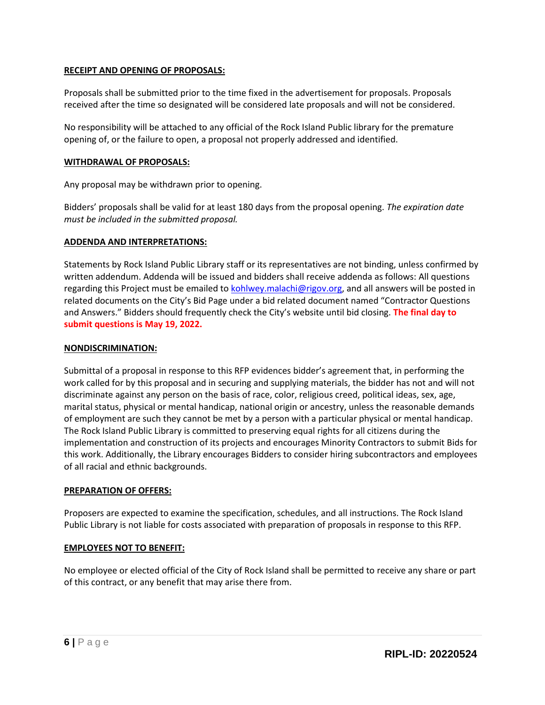## **RECEIPT AND OPENING OF PROPOSALS:**

Proposals shall be submitted prior to the time fixed in the advertisement for proposals. Proposals received after the time so designated will be considered late proposals and will not be considered.

No responsibility will be attached to any official of the Rock Island Public library for the premature opening of, or the failure to open, a proposal not properly addressed and identified.

#### **WITHDRAWAL OF PROPOSALS:**

Any proposal may be withdrawn prior to opening.

Bidders' proposals shall be valid for at least 180 days from the proposal opening. *The expiration date must be included in the submitted proposal.*

#### **ADDENDA AND INTERPRETATIONS:**

Statements by Rock Island Public Library staff or its representatives are not binding, unless confirmed by written addendum. Addenda will be issued and bidders shall receive addenda as follows: All questions regarding this Project must be emailed t[o kohlwey.malachi@rigov.org,](mailto:kohlwey.malachi@rigov.org) and all answers will be posted in related documents on the City's Bid Page under a bid related document named "Contractor Questions and Answers." Bidders should frequently check the City's website until bid closing. **The final day to submit questions is May 19, 2022.**

#### **NONDISCRIMINATION:**

Submittal of a proposal in response to this RFP evidences bidder's agreement that, in performing the work called for by this proposal and in securing and supplying materials, the bidder has not and will not discriminate against any person on the basis of race, color, religious creed, political ideas, sex, age, marital status, physical or mental handicap, national origin or ancestry, unless the reasonable demands of employment are such they cannot be met by a person with a particular physical or mental handicap. The Rock Island Public Library is committed to preserving equal rights for all citizens during the implementation and construction of its projects and encourages Minority Contractors to submit Bids for this work. Additionally, the Library encourages Bidders to consider hiring subcontractors and employees of all racial and ethnic backgrounds.

#### **PREPARATION OF OFFERS:**

Proposers are expected to examine the specification, schedules, and all instructions. The Rock Island Public Library is not liable for costs associated with preparation of proposals in response to this RFP.

## **EMPLOYEES NOT TO BENEFIT:**

No employee or elected official of the City of Rock Island shall be permitted to receive any share or part of this contract, or any benefit that may arise there from.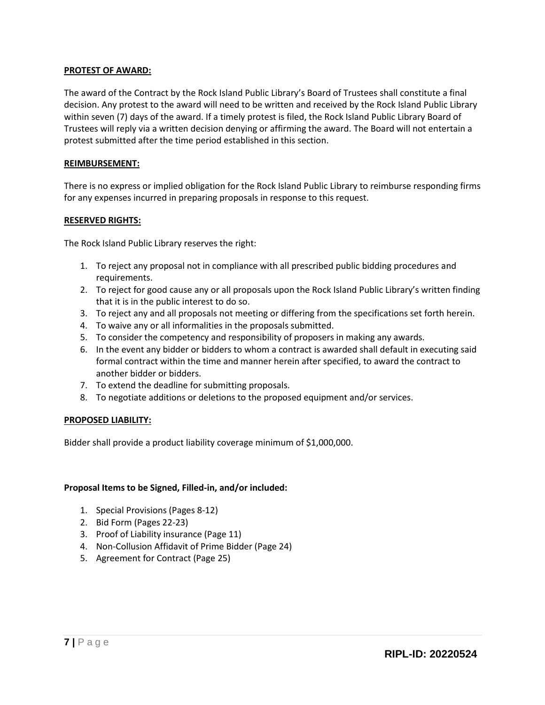## **PROTEST OF AWARD:**

The award of the Contract by the Rock Island Public Library's Board of Trustees shall constitute a final decision. Any protest to the award will need to be written and received by the Rock Island Public Library within seven (7) days of the award. If a timely protest is filed, the Rock Island Public Library Board of Trustees will reply via a written decision denying or affirming the award. The Board will not entertain a protest submitted after the time period established in this section.

## **REIMBURSEMENT:**

There is no express or implied obligation for the Rock Island Public Library to reimburse responding firms for any expenses incurred in preparing proposals in response to this request.

## **RESERVED RIGHTS:**

The Rock Island Public Library reserves the right:

- 1. To reject any proposal not in compliance with all prescribed public bidding procedures and requirements.
- 2. To reject for good cause any or all proposals upon the Rock Island Public Library's written finding that it is in the public interest to do so.
- 3. To reject any and all proposals not meeting or differing from the specifications set forth herein.
- 4. To waive any or all informalities in the proposals submitted.
- 5. To consider the competency and responsibility of proposers in making any awards.
- 6. In the event any bidder or bidders to whom a contract is awarded shall default in executing said formal contract within the time and manner herein after specified, to award the contract to another bidder or bidders.
- 7. To extend the deadline for submitting proposals.
- 8. To negotiate additions or deletions to the proposed equipment and/or services.

## **PROPOSED LIABILITY:**

Bidder shall provide a product liability coverage minimum of \$1,000,000.

## **Proposal Items to be Signed, Filled-in, and/or included:**

- 1. Special Provisions (Pages 8-12)
- 2. Bid Form (Pages 22-23)
- 3. Proof of Liability insurance (Page 11)
- 4. Non-Collusion Affidavit of Prime Bidder (Page 24)
- 5. Agreement for Contract (Page 25)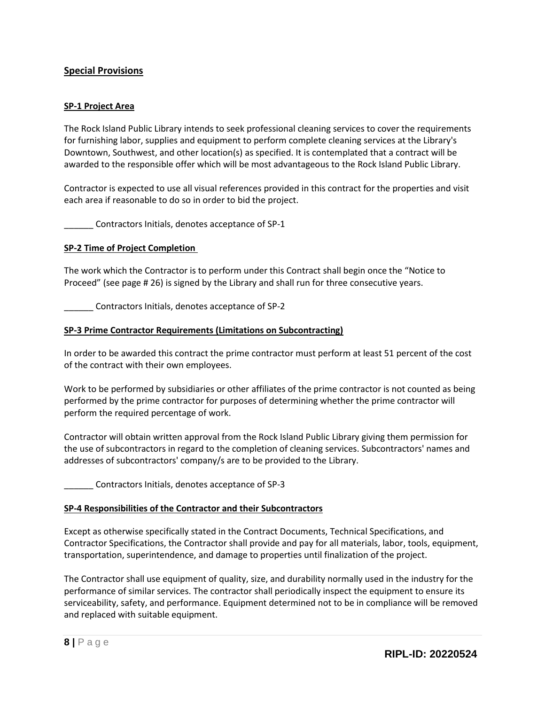# **Special Provisions**

# **SP-1 Project Area**

The Rock Island Public Library intends to seek professional cleaning services to cover the requirements for furnishing labor, supplies and equipment to perform complete cleaning services at the Library's Downtown, Southwest, and other location(s) as specified. It is contemplated that a contract will be awarded to the responsible offer which will be most advantageous to the Rock Island Public Library.

Contractor is expected to use all visual references provided in this contract for the properties and visit each area if reasonable to do so in order to bid the project.

Contractors Initials, denotes acceptance of SP-1

## **SP-2 Time of Project Completion**

The work which the Contractor is to perform under this Contract shall begin once the "Notice to Proceed" (see page # 26) is signed by the Library and shall run for three consecutive years.

\_\_\_\_\_\_ Contractors Initials, denotes acceptance of SP-2

## **SP-3 Prime Contractor Requirements (Limitations on Subcontracting)**

In order to be awarded this contract the prime contractor must perform at least 51 percent of the cost of the contract with their own employees.

Work to be performed by subsidiaries or other affiliates of the prime contractor is not counted as being performed by the prime contractor for purposes of determining whether the prime contractor will perform the required percentage of work.

Contractor will obtain written approval from the Rock Island Public Library giving them permission for the use of subcontractors in regard to the completion of cleaning services. Subcontractors' names and addresses of subcontractors' company/s are to be provided to the Library.

\_\_\_\_\_\_ Contractors Initials, denotes acceptance of SP-3

## **SP-4 Responsibilities of the Contractor and their Subcontractors**

Except as otherwise specifically stated in the Contract Documents, Technical Specifications, and Contractor Specifications, the Contractor shall provide and pay for all materials, labor, tools, equipment, transportation, superintendence, and damage to properties until finalization of the project.

The Contractor shall use equipment of quality, size, and durability normally used in the industry for the performance of similar services. The contractor shall periodically inspect the equipment to ensure its serviceability, safety, and performance. Equipment determined not to be in compliance will be removed and replaced with suitable equipment.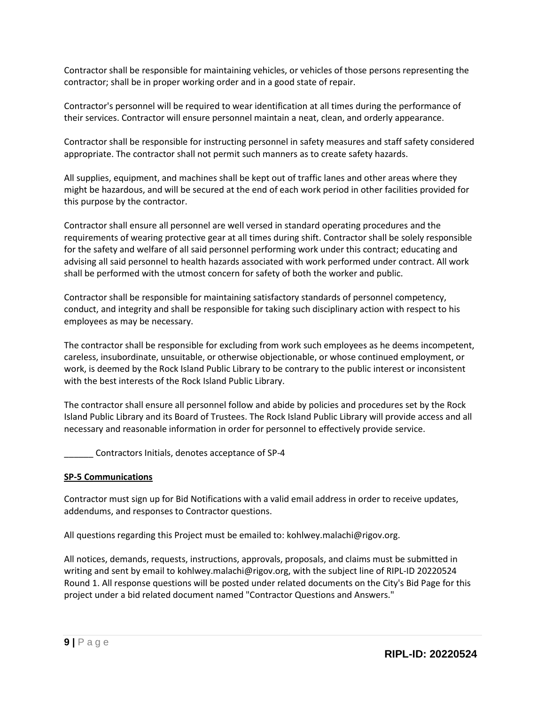Contractor shall be responsible for maintaining vehicles, or vehicles of those persons representing the contractor; shall be in proper working order and in a good state of repair.

Contractor's personnel will be required to wear identification at all times during the performance of their services. Contractor will ensure personnel maintain a neat, clean, and orderly appearance.

Contractor shall be responsible for instructing personnel in safety measures and staff safety considered appropriate. The contractor shall not permit such manners as to create safety hazards.

All supplies, equipment, and machines shall be kept out of traffic lanes and other areas where they might be hazardous, and will be secured at the end of each work period in other facilities provided for this purpose by the contractor.

Contractor shall ensure all personnel are well versed in standard operating procedures and the requirements of wearing protective gear at all times during shift. Contractor shall be solely responsible for the safety and welfare of all said personnel performing work under this contract; educating and advising all said personnel to health hazards associated with work performed under contract. All work shall be performed with the utmost concern for safety of both the worker and public.

Contractor shall be responsible for maintaining satisfactory standards of personnel competency, conduct, and integrity and shall be responsible for taking such disciplinary action with respect to his employees as may be necessary.

The contractor shall be responsible for excluding from work such employees as he deems incompetent, careless, insubordinate, unsuitable, or otherwise objectionable, or whose continued employment, or work, is deemed by the Rock Island Public Library to be contrary to the public interest or inconsistent with the best interests of the Rock Island Public Library.

The contractor shall ensure all personnel follow and abide by policies and procedures set by the Rock Island Public Library and its Board of Trustees. The Rock Island Public Library will provide access and all necessary and reasonable information in order for personnel to effectively provide service.

\_\_\_\_\_\_ Contractors Initials, denotes acceptance of SP-4

## **SP-5 Communications**

Contractor must sign up for Bid Notifications with a valid email address in order to receive updates, addendums, and responses to Contractor questions.

All questions regarding this Project must be emailed to: [kohlwey.malachi@rigov.org.](mailto:kohlwey.malachi@rigov.org)

All notices, demands, requests, instructions, approvals, proposals, and claims must be submitted in writing and sent by email to [kohlwey.malachi@rigov.org,](mailto:kohlwey.malachi@rigov.org) with the subject line of RIPL-ID 20220524 Round 1. All response questions will be posted under related documents on the City's Bid Page for this project under a bid related document named "Contractor Questions and Answers."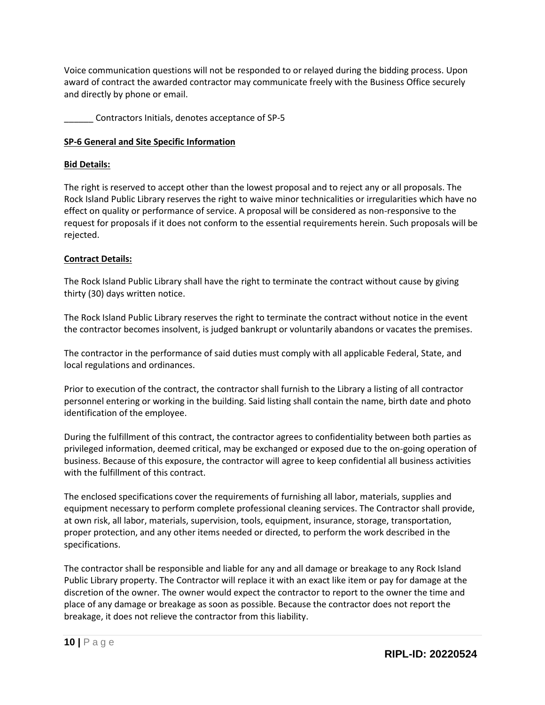Voice communication questions will not be responded to or relayed during the bidding process. Upon award of contract the awarded contractor may communicate freely with the Business Office securely and directly by phone or email.

Contractors Initials, denotes acceptance of SP-5

# **SP-6 General and Site Specific Information**

# **Bid Details:**

The right is reserved to accept other than the lowest proposal and to reject any or all proposals. The Rock Island Public Library reserves the right to waive minor technicalities or irregularities which have no effect on quality or performance of service. A proposal will be considered as non-responsive to the request for proposals if it does not conform to the essential requirements herein. Such proposals will be rejected.

# **Contract Details:**

The Rock Island Public Library shall have the right to terminate the contract without cause by giving thirty (30) days written notice.

The Rock Island Public Library reserves the right to terminate the contract without notice in the event the contractor becomes insolvent, is judged bankrupt or voluntarily abandons or vacates the premises.

The contractor in the performance of said duties must comply with all applicable Federal, State, and local regulations and ordinances.

Prior to execution of the contract, the contractor shall furnish to the Library a listing of all contractor personnel entering or working in the building. Said listing shall contain the name, birth date and photo identification of the employee.

During the fulfillment of this contract, the contractor agrees to confidentiality between both parties as privileged information, deemed critical, may be exchanged or exposed due to the on-going operation of business. Because of this exposure, the contractor will agree to keep confidential all business activities with the fulfillment of this contract.

The enclosed specifications cover the requirements of furnishing all labor, materials, supplies and equipment necessary to perform complete professional cleaning services. The Contractor shall provide, at own risk, all labor, materials, supervision, tools, equipment, insurance, storage, transportation, proper protection, and any other items needed or directed, to perform the work described in the specifications.

The contractor shall be responsible and liable for any and all damage or breakage to any Rock Island Public Library property. The Contractor will replace it with an exact like item or pay for damage at the discretion of the owner. The owner would expect the contractor to report to the owner the time and place of any damage or breakage as soon as possible. Because the contractor does not report the breakage, it does not relieve the contractor from this liability.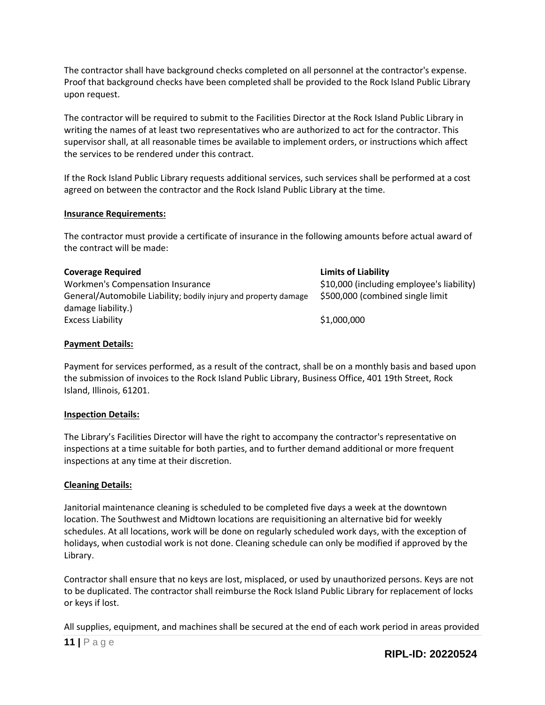The contractor shall have background checks completed on all personnel at the contractor's expense. Proof that background checks have been completed shall be provided to the Rock Island Public Library upon request.

The contractor will be required to submit to the Facilities Director at the Rock Island Public Library in writing the names of at least two representatives who are authorized to act for the contractor. This supervisor shall, at all reasonable times be available to implement orders, or instructions which affect the services to be rendered under this contract.

If the Rock Island Public Library requests additional services, such services shall be performed at a cost agreed on between the contractor and the Rock Island Public Library at the time.

## **Insurance Requirements:**

The contractor must provide a certificate of insurance in the following amounts before actual award of the contract will be made:

| <b>Coverage Required</b>                                        | Limits of Liability                       |
|-----------------------------------------------------------------|-------------------------------------------|
| <b>Workmen's Compensation Insurance</b>                         | \$10,000 (including employee's liability) |
| General/Automobile Liability; bodily injury and property damage | \$500,000 (combined single limit          |
| damage liability.)                                              |                                           |
| Excess Liability                                                | \$1,000,000                               |

# **Payment Details:**

Payment for services performed, as a result of the contract, shall be on a monthly basis and based upon the submission of invoices to the Rock Island Public Library, Business Office, 401 19th Street, Rock Island, Illinois, 61201.

## **Inspection Details:**

The Library's Facilities Director will have the right to accompany the contractor's representative on inspections at a time suitable for both parties, and to further demand additional or more frequent inspections at any time at their discretion.

# **Cleaning Details:**

Janitorial maintenance cleaning is scheduled to be completed five days a week at the downtown location. The Southwest and Midtown locations are requisitioning an alternative bid for weekly schedules. At all locations, work will be done on regularly scheduled work days, with the exception of holidays, when custodial work is not done. Cleaning schedule can only be modified if approved by the Library.

Contractor shall ensure that no keys are lost, misplaced, or used by unauthorized persons. Keys are not to be duplicated. The contractor shall reimburse the Rock Island Public Library for replacement of locks or keys if lost.

All supplies, equipment, and machines shall be secured at the end of each work period in areas provided

**RIPL-ID: 20220524**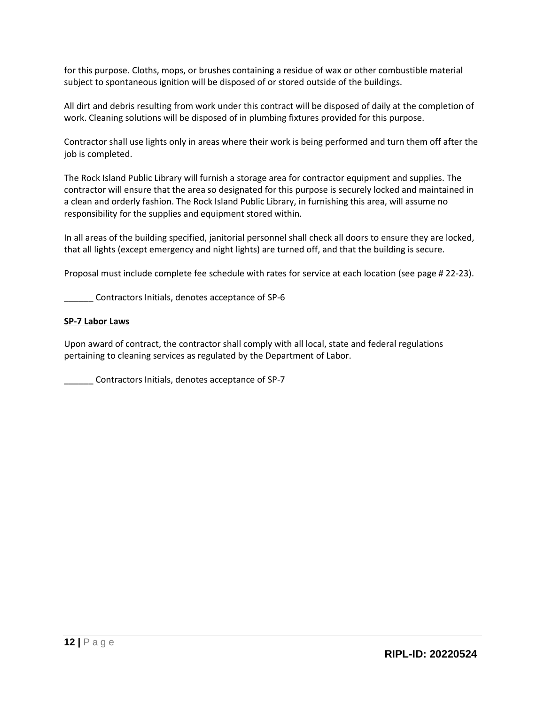for this purpose. Cloths, mops, or brushes containing a residue of wax or other combustible material subject to spontaneous ignition will be disposed of or stored outside of the buildings.

All dirt and debris resulting from work under this contract will be disposed of daily at the completion of work. Cleaning solutions will be disposed of in plumbing fixtures provided for this purpose.

Contractor shall use lights only in areas where their work is being performed and turn them off after the job is completed.

The Rock Island Public Library will furnish a storage area for contractor equipment and supplies. The contractor will ensure that the area so designated for this purpose is securely locked and maintained in a clean and orderly fashion. The Rock Island Public Library, in furnishing this area, will assume no responsibility for the supplies and equipment stored within.

In all areas of the building specified, janitorial personnel shall check all doors to ensure they are locked, that all lights (except emergency and night lights) are turned off, and that the building is secure.

Proposal must include complete fee schedule with rates for service at each location (see page # 22-23).

\_\_\_\_\_\_ Contractors Initials, denotes acceptance of SP-6

## **SP-7 Labor Laws**

Upon award of contract, the contractor shall comply with all local, state and federal regulations pertaining to cleaning services as regulated by the Department of Labor.

\_\_\_\_\_\_ Contractors Initials, denotes acceptance of SP-7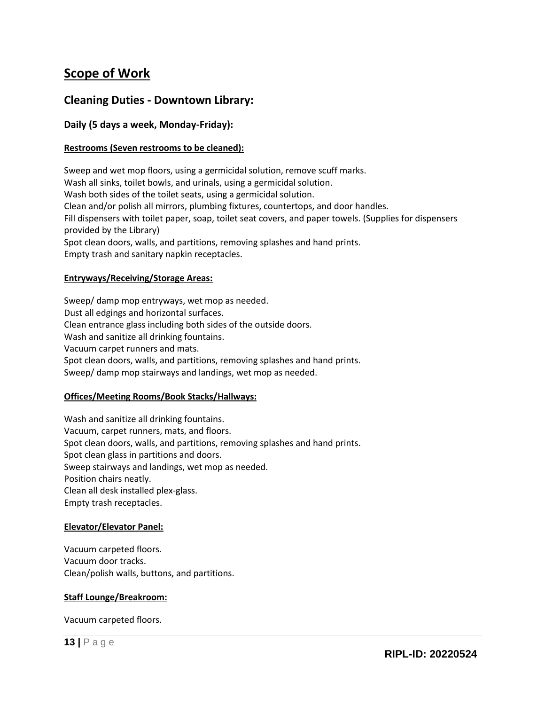# **Scope of Work**

# **Cleaning Duties - Downtown Library:**

# **Daily (5 days a week, Monday-Friday):**

## **Restrooms (Seven restrooms to be cleaned):**

Sweep and wet mop floors, using a germicidal solution, remove scuff marks. Wash all sinks, toilet bowls, and urinals, using a germicidal solution. Wash both sides of the toilet seats, using a germicidal solution. Clean and/or polish all mirrors, plumbing fixtures, countertops, and door handles. Fill dispensers with toilet paper, soap, toilet seat covers, and paper towels. (Supplies for dispensers provided by the Library) Spot clean doors, walls, and partitions, removing splashes and hand prints. Empty trash and sanitary napkin receptacles.

## **Entryways/Receiving/Storage Areas:**

Sweep/ damp mop entryways, wet mop as needed. Dust all edgings and horizontal surfaces. Clean entrance glass including both sides of the outside doors. Wash and sanitize all drinking fountains. Vacuum carpet runners and mats. Spot clean doors, walls, and partitions, removing splashes and hand prints. Sweep/ damp mop stairways and landings, wet mop as needed.

## **Offices/Meeting Rooms/Book Stacks/Hallways:**

Wash and sanitize all drinking fountains. Vacuum, carpet runners, mats, and floors. Spot clean doors, walls, and partitions, removing splashes and hand prints. Spot clean glass in partitions and doors. Sweep stairways and landings, wet mop as needed. Position chairs neatly. Clean all desk installed plex-glass. Empty trash receptacles.

## **Elevator/Elevator Panel:**

Vacuum carpeted floors. Vacuum door tracks. Clean/polish walls, buttons, and partitions.

## **Staff Lounge/Breakroom:**

Vacuum carpeted floors.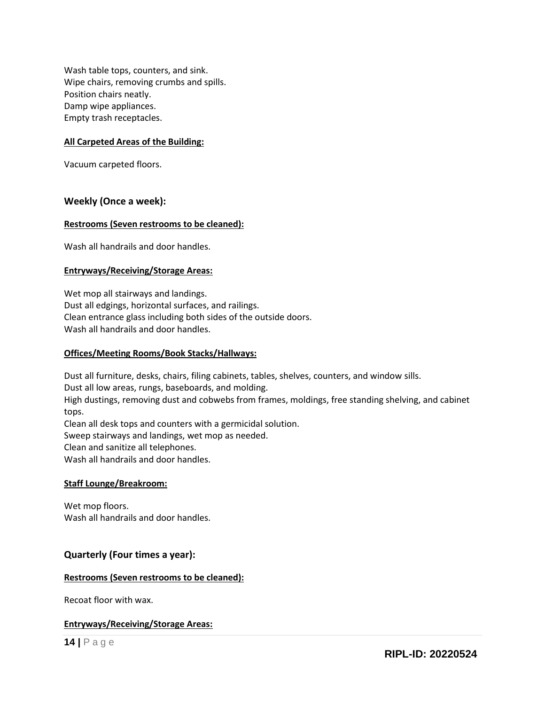Wash table tops, counters, and sink. Wipe chairs, removing crumbs and spills. Position chairs neatly. Damp wipe appliances. Empty trash receptacles.

## **All Carpeted Areas of the Building:**

Vacuum carpeted floors.

## **Weekly (Once a week):**

#### **Restrooms (Seven restrooms to be cleaned):**

Wash all handrails and door handles.

#### **Entryways/Receiving/Storage Areas:**

Wet mop all stairways and landings. Dust all edgings, horizontal surfaces, and railings. Clean entrance glass including both sides of the outside doors. Wash all handrails and door handles.

#### **Offices/Meeting Rooms/Book Stacks/Hallways:**

Dust all furniture, desks, chairs, filing cabinets, tables, shelves, counters, and window sills. Dust all low areas, rungs, baseboards, and molding. High dustings, removing dust and cobwebs from frames, moldings, free standing shelving, and cabinet tops. Clean all desk tops and counters with a germicidal solution. Sweep stairways and landings, wet mop as needed. Clean and sanitize all telephones.

Wash all handrails and door handles.

#### **Staff Lounge/Breakroom:**

Wet mop floors. Wash all handrails and door handles.

## **Quarterly (Four times a year):**

#### **Restrooms (Seven restrooms to be cleaned):**

Recoat floor with wax.

## **Entryways/Receiving/Storage Areas:**

**14 |** P a g e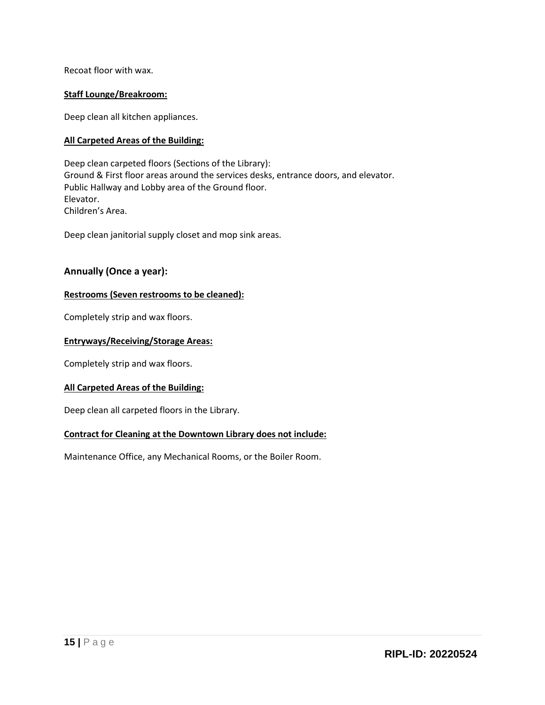Recoat floor with wax.

## **Staff Lounge/Breakroom:**

Deep clean all kitchen appliances.

## **All Carpeted Areas of the Building:**

Deep clean carpeted floors (Sections of the Library): Ground & First floor areas around the services desks, entrance doors, and elevator. Public Hallway and Lobby area of the Ground floor. Elevator. Children's Area.

Deep clean janitorial supply closet and mop sink areas.

# **Annually (Once a year):**

## **Restrooms (Seven restrooms to be cleaned):**

Completely strip and wax floors.

## **Entryways/Receiving/Storage Areas:**

Completely strip and wax floors.

## **All Carpeted Areas of the Building:**

Deep clean all carpeted floors in the Library.

## **Contract for Cleaning at the Downtown Library does not include:**

Maintenance Office, any Mechanical Rooms, or the Boiler Room.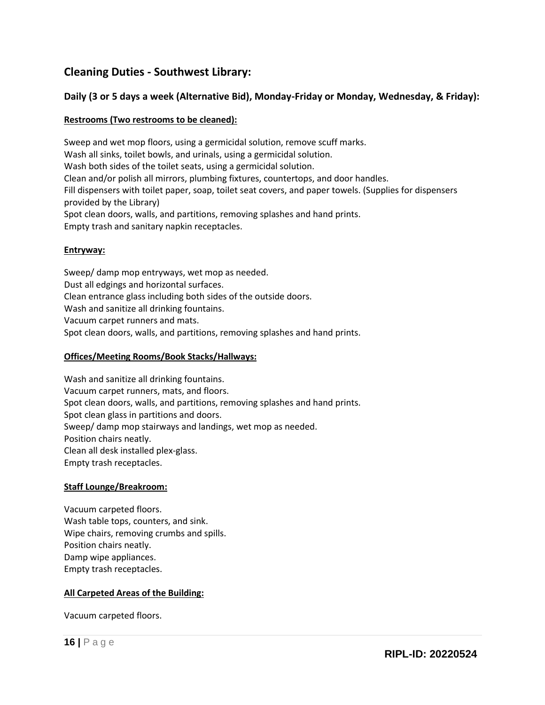# **Cleaning Duties - Southwest Library:**

# **Daily (3 or 5 days a week (Alternative Bid), Monday-Friday or Monday, Wednesday, & Friday):**

## **Restrooms (Two restrooms to be cleaned):**

Sweep and wet mop floors, using a germicidal solution, remove scuff marks. Wash all sinks, toilet bowls, and urinals, using a germicidal solution. Wash both sides of the toilet seats, using a germicidal solution. Clean and/or polish all mirrors, plumbing fixtures, countertops, and door handles. Fill dispensers with toilet paper, soap, toilet seat covers, and paper towels. (Supplies for dispensers provided by the Library) Spot clean doors, walls, and partitions, removing splashes and hand prints. Empty trash and sanitary napkin receptacles.

## **Entryway:**

Sweep/ damp mop entryways, wet mop as needed. Dust all edgings and horizontal surfaces. Clean entrance glass including both sides of the outside doors. Wash and sanitize all drinking fountains. Vacuum carpet runners and mats. Spot clean doors, walls, and partitions, removing splashes and hand prints.

## **Offices/Meeting Rooms/Book Stacks/Hallways:**

Wash and sanitize all drinking fountains. Vacuum carpet runners, mats, and floors. Spot clean doors, walls, and partitions, removing splashes and hand prints. Spot clean glass in partitions and doors. Sweep/ damp mop stairways and landings, wet mop as needed. Position chairs neatly. Clean all desk installed plex-glass. Empty trash receptacles.

# **Staff Lounge/Breakroom:**

Vacuum carpeted floors. Wash table tops, counters, and sink. Wipe chairs, removing crumbs and spills. Position chairs neatly. Damp wipe appliances. Empty trash receptacles.

# **All Carpeted Areas of the Building:**

Vacuum carpeted floors.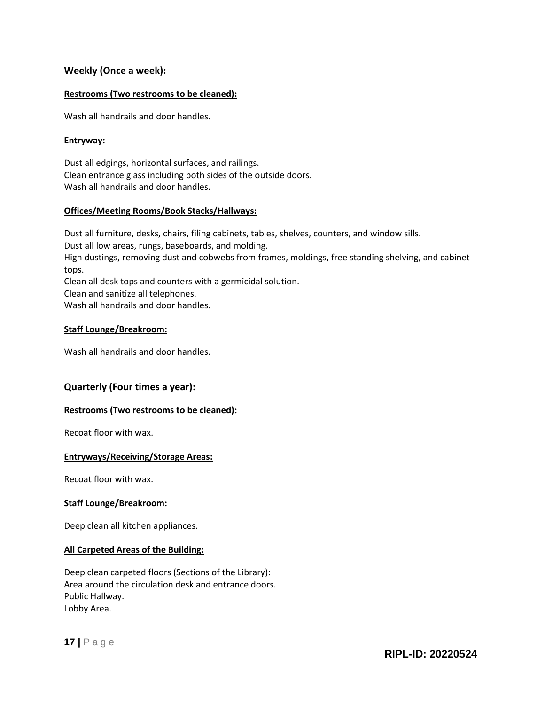## **Weekly (Once a week):**

## **Restrooms (Two restrooms to be cleaned):**

Wash all handrails and door handles.

#### **Entryway:**

Dust all edgings, horizontal surfaces, and railings. Clean entrance glass including both sides of the outside doors. Wash all handrails and door handles.

#### **Offices/Meeting Rooms/Book Stacks/Hallways:**

Dust all furniture, desks, chairs, filing cabinets, tables, shelves, counters, and window sills. Dust all low areas, rungs, baseboards, and molding. High dustings, removing dust and cobwebs from frames, moldings, free standing shelving, and cabinet tops. Clean all desk tops and counters with a germicidal solution. Clean and sanitize all telephones. Wash all handrails and door handles.

#### **Staff Lounge/Breakroom:**

Wash all handrails and door handles.

## **Quarterly (Four times a year):**

## **Restrooms (Two restrooms to be cleaned):**

Recoat floor with wax.

#### **Entryways/Receiving/Storage Areas:**

Recoat floor with wax.

#### **Staff Lounge/Breakroom:**

Deep clean all kitchen appliances.

#### **All Carpeted Areas of the Building:**

Deep clean carpeted floors (Sections of the Library): Area around the circulation desk and entrance doors. Public Hallway. Lobby Area.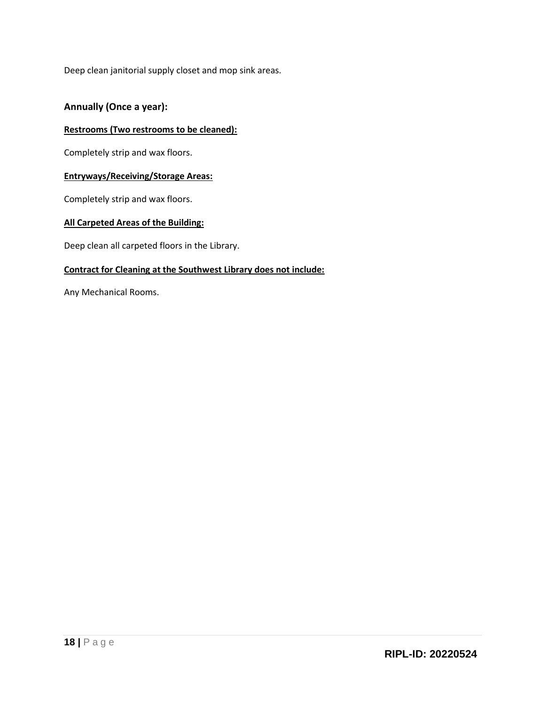Deep clean janitorial supply closet and mop sink areas.

# **Annually (Once a year):**

## **Restrooms (Two restrooms to be cleaned):**

Completely strip and wax floors.

#### **Entryways/Receiving/Storage Areas:**

Completely strip and wax floors.

## **All Carpeted Areas of the Building:**

Deep clean all carpeted floors in the Library.

## **Contract for Cleaning at the Southwest Library does not include:**

Any Mechanical Rooms.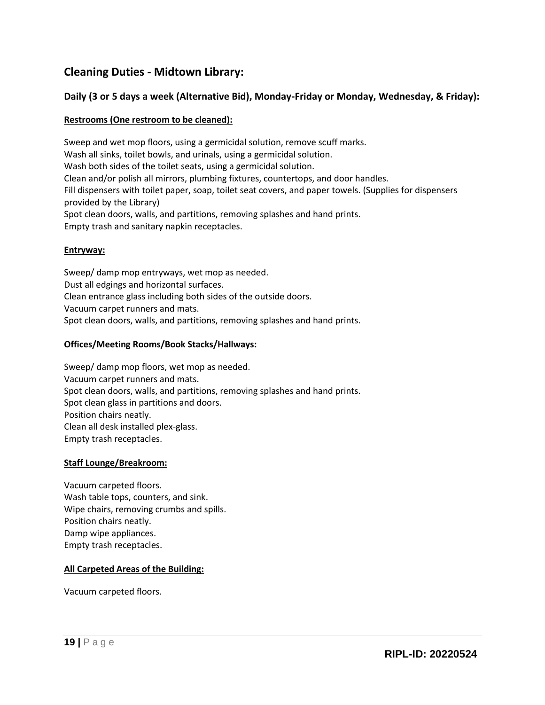# **Cleaning Duties - Midtown Library:**

# **Daily (3 or 5 days a week (Alternative Bid), Monday-Friday or Monday, Wednesday, & Friday):**

## **Restrooms (One restroom to be cleaned):**

Sweep and wet mop floors, using a germicidal solution, remove scuff marks. Wash all sinks, toilet bowls, and urinals, using a germicidal solution. Wash both sides of the toilet seats, using a germicidal solution. Clean and/or polish all mirrors, plumbing fixtures, countertops, and door handles. Fill dispensers with toilet paper, soap, toilet seat covers, and paper towels. (Supplies for dispensers provided by the Library) Spot clean doors, walls, and partitions, removing splashes and hand prints. Empty trash and sanitary napkin receptacles.

## **Entryway:**

Sweep/ damp mop entryways, wet mop as needed. Dust all edgings and horizontal surfaces. Clean entrance glass including both sides of the outside doors. Vacuum carpet runners and mats. Spot clean doors, walls, and partitions, removing splashes and hand prints.

## **Offices/Meeting Rooms/Book Stacks/Hallways:**

Sweep/ damp mop floors, wet mop as needed. Vacuum carpet runners and mats. Spot clean doors, walls, and partitions, removing splashes and hand prints. Spot clean glass in partitions and doors. Position chairs neatly. Clean all desk installed plex-glass. Empty trash receptacles.

## **Staff Lounge/Breakroom:**

Vacuum carpeted floors. Wash table tops, counters, and sink. Wipe chairs, removing crumbs and spills. Position chairs neatly. Damp wipe appliances. Empty trash receptacles.

## **All Carpeted Areas of the Building:**

Vacuum carpeted floors.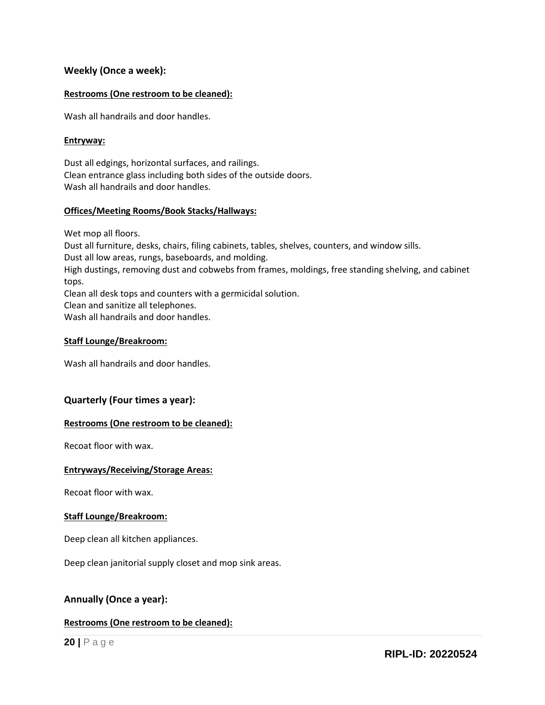## **Weekly (Once a week):**

## **Restrooms (One restroom to be cleaned):**

Wash all handrails and door handles.

#### **Entryway:**

Dust all edgings, horizontal surfaces, and railings. Clean entrance glass including both sides of the outside doors. Wash all handrails and door handles.

#### **Offices/Meeting Rooms/Book Stacks/Hallways:**

Wet mop all floors. Dust all furniture, desks, chairs, filing cabinets, tables, shelves, counters, and window sills. Dust all low areas, rungs, baseboards, and molding. High dustings, removing dust and cobwebs from frames, moldings, free standing shelving, and cabinet tops. Clean all desk tops and counters with a germicidal solution. Clean and sanitize all telephones. Wash all handrails and door handles.

#### **Staff Lounge/Breakroom:**

Wash all handrails and door handles.

## **Quarterly (Four times a year):**

## **Restrooms (One restroom to be cleaned):**

Recoat floor with wax.

#### **Entryways/Receiving/Storage Areas:**

Recoat floor with wax.

#### **Staff Lounge/Breakroom:**

Deep clean all kitchen appliances.

Deep clean janitorial supply closet and mop sink areas.

# **Annually (Once a year):**

## **Restrooms (One restroom to be cleaned):**

**20 |** P a g e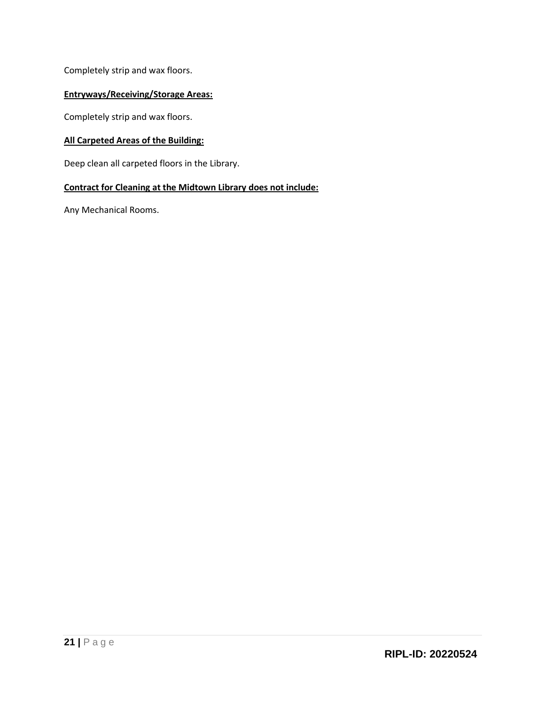Completely strip and wax floors.

# **Entryways/Receiving/Storage Areas:**

Completely strip and wax floors.

# **All Carpeted Areas of the Building:**

Deep clean all carpeted floors in the Library.

# **Contract for Cleaning at the Midtown Library does not include:**

Any Mechanical Rooms.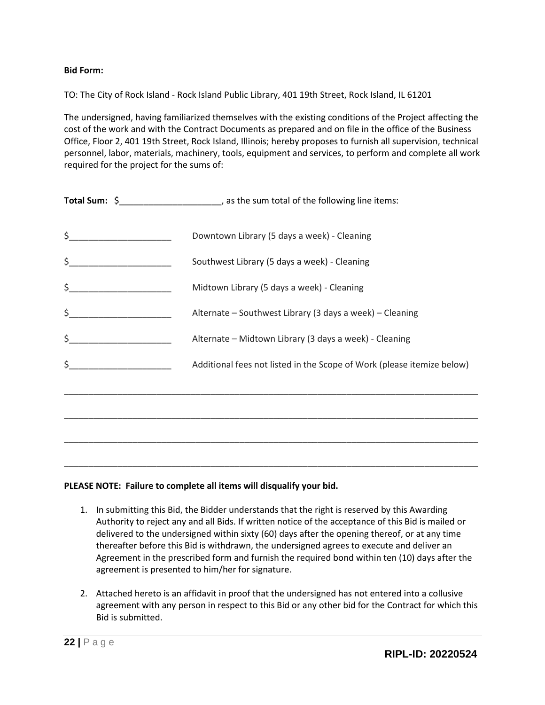## **Bid Form:**

TO: The City of Rock Island - Rock Island Public Library, 401 19th Street, Rock Island, IL 61201

The undersigned, having familiarized themselves with the existing conditions of the Project affecting the cost of the work and with the Contract Documents as prepared and on file in the office of the Business Office, Floor 2, 401 19th Street, Rock Island, Illinois; hereby proposes to furnish all supervision, technical personnel, labor, materials, machinery, tools, equipment and services, to perform and complete all work required for the project for the sums of:

|                                                                                                                                                                                                                                                                                                                                                                     | <b>Total Sum:</b> \$                                                   |  |  |  |  |
|---------------------------------------------------------------------------------------------------------------------------------------------------------------------------------------------------------------------------------------------------------------------------------------------------------------------------------------------------------------------|------------------------------------------------------------------------|--|--|--|--|
| $\begin{picture}(20,10) \put(0,0){\vector(1,0){100}} \put(15,0){\vector(1,0){100}} \put(15,0){\vector(1,0){100}} \put(15,0){\vector(1,0){100}} \put(15,0){\vector(1,0){100}} \put(15,0){\vector(1,0){100}} \put(15,0){\vector(1,0){100}} \put(15,0){\vector(1,0){100}} \put(15,0){\vector(1,0){100}} \put(15,0){\vector(1,0){100}} \put(15,0){\vector(1,0){100}} \$ | Downtown Library (5 days a week) - Cleaning                            |  |  |  |  |
| $\begin{array}{c c c c c} \n5 & \text{---} & \text{---} & \text{---} \n\end{array}$                                                                                                                                                                                                                                                                                 | Southwest Library (5 days a week) - Cleaning                           |  |  |  |  |
| $\zeta$                                                                                                                                                                                                                                                                                                                                                             | Midtown Library (5 days a week) - Cleaning                             |  |  |  |  |
| \$                                                                                                                                                                                                                                                                                                                                                                  | Alternate - Southwest Library (3 days a week) - Cleaning               |  |  |  |  |
| $\begin{picture}(20,10) \put(0,0){\vector(1,0){100}} \put(15,0){\vector(1,0){100}} \put(15,0){\vector(1,0){100}} \put(15,0){\vector(1,0){100}} \put(15,0){\vector(1,0){100}} \put(15,0){\vector(1,0){100}} \put(15,0){\vector(1,0){100}} \put(15,0){\vector(1,0){100}} \put(15,0){\vector(1,0){100}} \put(15,0){\vector(1,0){100}} \put(15,0){\vector(1,0){100}} \$ | Alternate - Midtown Library (3 days a week) - Cleaning                 |  |  |  |  |
| \$                                                                                                                                                                                                                                                                                                                                                                  | Additional fees not listed in the Scope of Work (please itemize below) |  |  |  |  |
|                                                                                                                                                                                                                                                                                                                                                                     |                                                                        |  |  |  |  |
|                                                                                                                                                                                                                                                                                                                                                                     |                                                                        |  |  |  |  |
|                                                                                                                                                                                                                                                                                                                                                                     |                                                                        |  |  |  |  |

## **PLEASE NOTE: Failure to complete all items will disqualify your bid.**

1. In submitting this Bid, the Bidder understands that the right is reserved by this Awarding Authority to reject any and all Bids. If written notice of the acceptance of this Bid is mailed or delivered to the undersigned within sixty (60) days after the opening thereof, or at any time thereafter before this Bid is withdrawn, the undersigned agrees to execute and deliver an Agreement in the prescribed form and furnish the required bond within ten (10) days after the agreement is presented to him/her for signature.

\_\_\_\_\_\_\_\_\_\_\_\_\_\_\_\_\_\_\_\_\_\_\_\_\_\_\_\_\_\_\_\_\_\_\_\_\_\_\_\_\_\_\_\_\_\_\_\_\_\_\_\_\_\_\_\_\_\_\_\_\_\_\_\_\_\_\_\_\_\_\_\_\_\_\_\_\_\_\_\_\_\_\_\_\_

2. Attached hereto is an affidavit in proof that the undersigned has not entered into a collusive agreement with any person in respect to this Bid or any other bid for the Contract for which this Bid is submitted.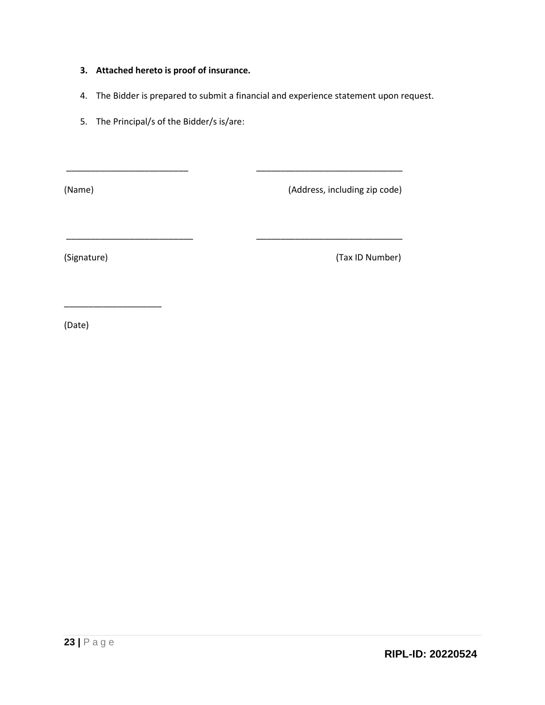# **3. Attached hereto is proof of insurance.**

4. The Bidder is prepared to submit a financial and experience statement upon request.

\_\_\_\_\_\_\_\_\_\_\_\_\_\_\_\_\_\_\_\_\_\_\_\_\_ \_\_\_\_\_\_\_\_\_\_\_\_\_\_\_\_\_\_\_\_\_\_\_\_\_\_\_\_\_\_

\_\_\_\_\_\_\_\_\_\_\_\_\_\_\_\_\_\_\_\_\_\_\_\_\_\_ \_\_\_\_\_\_\_\_\_\_\_\_\_\_\_\_\_\_\_\_\_\_\_\_\_\_\_\_\_\_

5. The Principal/s of the Bidder/s is/are:

(Name) (Address, including zip code)

\_\_\_\_\_\_\_\_\_\_\_\_\_\_\_\_\_\_\_\_

(Signature) (Tax ID Number)

(Date)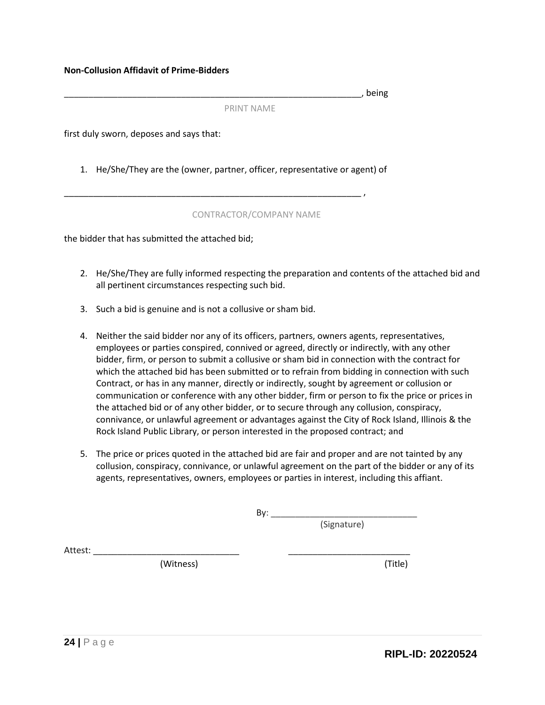$\begin{array}{ccc} \hline \ \end{array}$  being

PRINT NAME

first duly sworn, deposes and says that:

1. He/She/They are the (owner, partner, officer, representative or agent) of

\_\_\_\_\_\_\_\_\_\_\_\_\_\_\_\_\_\_\_\_\_\_\_\_\_\_\_\_\_\_\_\_\_\_\_\_\_\_\_\_\_\_\_\_\_\_\_\_\_\_\_\_\_\_\_\_\_\_\_\_\_ ,

CONTRACTOR/COMPANY NAME

the bidder that has submitted the attached bid;

- 2. He/She/They are fully informed respecting the preparation and contents of the attached bid and all pertinent circumstances respecting such bid.
- 3. Such a bid is genuine and is not a collusive or sham bid.
- 4. Neither the said bidder nor any of its officers, partners, owners agents, representatives, employees or parties conspired, connived or agreed, directly or indirectly, with any other bidder, firm, or person to submit a collusive or sham bid in connection with the contract for which the attached bid has been submitted or to refrain from bidding in connection with such Contract, or has in any manner, directly or indirectly, sought by agreement or collusion or communication or conference with any other bidder, firm or person to fix the price or prices in the attached bid or of any other bidder, or to secure through any collusion, conspiracy, connivance, or unlawful agreement or advantages against the City of Rock Island, Illinois & the Rock Island Public Library, or person interested in the proposed contract; and
- 5. The price or prices quoted in the attached bid are fair and proper and are not tainted by any collusion, conspiracy, connivance, or unlawful agreement on the part of the bidder or any of its agents, representatives, owners, employees or parties in interest, including this affiant.

By: \_\_\_\_\_\_\_\_\_\_\_\_\_\_\_\_\_\_\_\_\_\_\_\_\_\_\_\_\_\_

(Signature)

Attest: \_\_\_\_\_\_\_\_\_\_\_\_\_\_\_\_\_\_\_\_\_\_\_\_\_\_\_\_\_\_ \_\_\_\_\_\_\_\_\_\_\_\_\_\_\_\_\_\_\_\_\_\_\_\_\_

(Witness) (Title)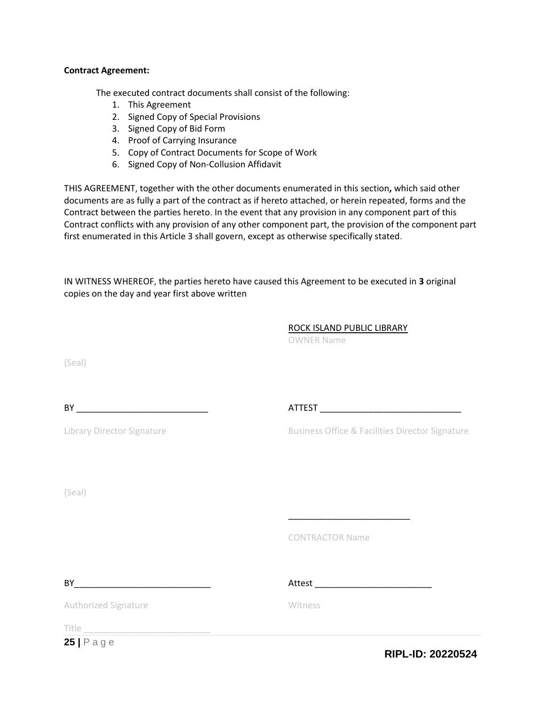#### **Contract Agreement:**

The executed contract documents shall consist of the following:

- 1. This Agreement
- 2. Signed Copy of Special Provisions
- 3. Signed Copy of Bid Form
- 4. Proof of Carrying Insurance
- 5. Copy of Contract Documents for Scope of Work
- 6. Signed Copy of Non-Collusion Affidavit

THIS AGREEMENT, together with the other documents enumerated in this section**,** which said other documents are as fully a part of the contract as if hereto attached, or herein repeated, forms and the Contract between the parties hereto. In the event that any provision in any component part of this Contract conflicts with any provision of any other component part, the provision of the component part first enumerated in this Article 3 shall govern, except as otherwise specifically stated.

IN WITNESS WHEREOF, the parties hereto have caused this Agreement to be executed in **3** original copies on the day and year first above written

| ROCK ISLAND PUBLIC LIBRARY |
|----------------------------|
|                            |

OWNER Name

(Seal)

BY \_\_\_\_\_\_\_\_\_\_\_\_\_\_\_\_\_\_\_\_\_\_\_\_\_\_\_ ATTEST \_\_\_\_\_\_\_\_\_\_\_\_\_\_\_\_\_\_\_\_\_\_\_\_\_\_\_\_\_

Library Director Signature **Business Office & Facilities Director Signature** Business Office & Facilities Director Signature

(Seal)

| <b>CONTRACTOR Name</b> |  |  |
|------------------------|--|--|
|                        |  |  |

\_\_\_\_\_\_\_\_\_\_\_\_\_\_\_\_\_\_\_\_\_\_\_\_\_

BY\_\_\_\_\_\_\_\_\_\_\_\_\_\_\_\_\_\_\_\_\_\_\_\_\_\_\_\_ Attest \_\_\_\_\_\_\_\_\_\_\_\_\_\_\_\_\_\_\_\_\_\_\_\_

Authorized Signature Witness

Title  $\_\_$ 

**25 |** P a g e

**RIPL-ID: 20220524**